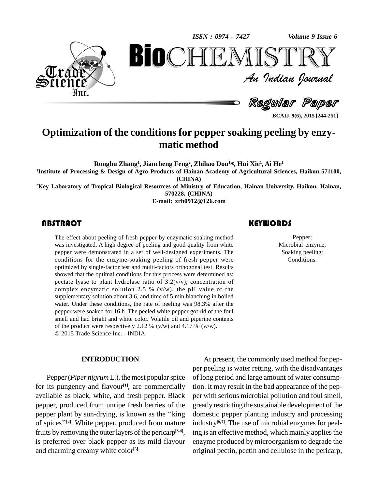*Volume 9 Issue 6*



*Volume 9 Issue 6*<br> $\begin{array}{c} \bigcirc \mathbb{T} \mathbb{R} \mathbb{Y} \ \mathcal{I} \end{array}$ **BioCHEMISTRY**<br>
Au Indian Journal<br>
Regular Paper<br>
conditions for pepper soaking peeling by enzy-<br>
matic method An Indian Journal<br>Regular Paper

**BCAIJ, 9(6), 2015 [244-251]**

### **Optimization of the conditions for pepper soaking peeling by enzy matic method**

**Ronghu Zhang 1 , Jiancheng Feng 2 , Zhihao Dou <sup>1</sup>**\***, Hui Xie 1 , Ai He 1**

**<sup>1</sup>Institute of Processing & Design of Agro Products of Hainan Academy ofAgricultural Sciences, Haikou 571100, (CHINA)**

**<sup>2</sup>Key Laboratory ofTropical Biological Resources of Ministry ofEducation, Hainan University, Haikou, Hainan, 570228, (CHINA)**

**E-mail: [zrh0912@126.com](mailto:zrh0912@126.com)**

The effect about peeling of fresh pepper by enzymatic soaking method was investigated. A high degree of peeling and good quality from white pepper were demonstrated in a set of well-designed experiments. The conditions for the enzyme-soaking peeling of fresh pepper were optimized by single-factor test and multi-factors orthogonal test. Results showed that the optimal conditions for this process were determined as: pectate lyase to plant hydrolase ratio of  $3:2(v/v)$ , concentration of complex enzymatic solution 2.5 %  $(v/w)$ , the pH value of the supplementary solution about 3.6, and time of 5 min blanching in boiled water. Under these conditions, the rate of peeling was 98.3% after the pepper were soaked for 16 h. The peeled white pepper got rid of the foul smell and had bright and white color. Volatile oil and piperine contents of the product were respectively 2.12 % (v/w) and 4.17 % (w/w). 2015 Trade Science Inc. - INDIA The effect about peeling of fresh pepper by enzymatic soaking method<br>was investigated. A high degree of peeling and good quality from white<br>pepper were demonstrated in a set of well-designed experiments. The<br>Soaking peelin

#### **INTRODUCTION**

Pepper (*Piper nigrum* L.), the most popular spice for its pungency and flavour<sup>[1]</sup>, are commercially tion. It available as black, white, and fresh pepper. Black per wit pepper, produced from unripe fresh berries of the greatly pepper plant by sun-drying, is known as the "king domes" pepper, produced from unripe fresh berries of the pepper, produced from unripe fresh berries of the greatl<br>pepper plant by sun-drying, is known as the "king dome<br>of spices"<sup>[2]</sup>. White pepper, produced from mature indus fruits by removing the outer layers of the pericarp<sup>[3,4]</sup>, ing is preferred over black pepper as its mild flavour and charming creamy white color **[5]**.

Pepper; Microbial enzyme; Soaking peeling; Conditions.

At present, the commonly used method for pep per peeling is water retting, with the disadvantages of long period and large amount of water consumption. It may result in the bad appearance of the pep per with serious microbial pollution and foul smell, greatly restricting the sustainable development of the domestic pepper planting industry and processing industry **[6,7]**. The use of microbial enzymes for peeling is an effective method, which mainly applies the enzyme produced by microorganism to degrade the original pectin, pectin and cellulose in the pericarp,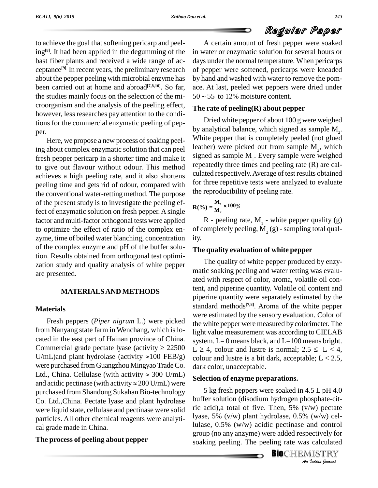## Regular Paper

to achieve the goal that softening pericarp and peeling<sup>[8]</sup>. It had been applied in the degumming of the in wa bast fiber plants and received a wide range of ac ceptance<sup>[9].</sup> In recent years, the preliminary research of pep about the pepper peeling with microbial enzyme has been carried out at home and abroad<sup>[7,8,10]</sup>. So far, ac the studies mainly focus on the selection of the mi- $50 \approx 55$  to 12% moisture content. croorganism and the analysis of the peeling effect, however, less researches pay attention to the conditions for the commercial enzymatic peeling of pep-

per.<br>Here, we propose a new process of soaking peeling about complex enzymatic solution that can peel fresh pepper pericarp in a shorter time and make it to give out flavour without odour. This method achieves a high peeling rate, and it also shortens peeling time and gets rid of odour, compared with the conventional water-retting method. The purpose of the present study is to investigate the peeling effect of enzymatic solution on fresh pepper. A single factor and multi-factor orthogonal tests were applied to optimize the effect of ratio of the complex en zyme, time of boiled water blanching, concentration of the complex enzyme and pH of the buffer solution. Results obtained from orthogonal test optimi zation study and quality analysis of white pepper are presented.

#### **MATERIALSAND METHODS**

#### **Materials**

Fresh peppers (*Piper nigrum* L.) were picked from Nanyang state farm in Wenchang, which islo cated in the east part of Hainan province of China. from Nanyang state farm in Wenchang, which is lo-<br>cated in the east part of Hainan province of China.<br>Commercial grade pectate lyase (activity  $\geq 22500$  L  $\geq 4$ . cated in the east part of Hainan province of China.<br>Commercial grade pectate lyase (activity  $\geq 22500$  L  $\geq$  U/mL)and plant hydrolase (activity  $\approx 100$  FEB/g) cold were purchased from Guangzhou Mingyao Trade Co. da U/mL)and plant hydrolase (activity  $\approx$ 100 FEB/g) colousties were purchased from Guangzhou Mingyao Trade Co. darl<br>Ltd., China. Cellulase (with activity  $\approx$  300 U/mL) were purchased from Guangzhou Mingyao Trade Co. dark c<br>Ltd., China. Cellulase (with activity  $\approx 300$  U/mL)<br>and acidic pectinase (with activity  $\approx 200$  U/mL) were purchased from Shandong Sukahan Bio-technology Co. Ltd.,China. Pectate lyase and plant hydrolase were liquid state, cellulase and pectinase were solid particles. All other chemical reagents were analyti cal grade made in China.

#### **The process of peeling about pepper**

A certain amount of fresh pepper were soaked in water or enzymatic solution for several hours or days under the normal temperature. When pericarps of pepper were softened, pericarps were kneaded by hand and washed with water to remove the pom-<br>ace. At last, peeled wet peppers were dried under<br> $50 \sim 55$  to 12% moisture content. ace. At last, peeled wet peppers were dried under

#### **The rate of peeling(R) about pepper**

Dried white pepper of about 100 g were weighed by analytical balance, which signed as sample  $M_2$ . White pepper that is completely peeled (not glued leather) were picked out from sample  $M_2$ , which signed as sample  $M_1$ . Every sample were weighed repeatedly three times and peeling rate (R) are cal culated respectively.Average of test results obtained for three repetitive tests were analyzed to evaluate the reproducibility of peeling rate.

$$
R(\%)=\frac{M_1}{M_2}\times 100\%
$$

 $R$  - peeling rate,  $M<sub>1</sub>$  - white pepper quality (g) of completely peeling,  $M<sub>2</sub>$  (g) - sampling total quality.

#### **The quality evaluation of white pepper**

The quality of white pepper produced by enzy matic soaking peeling and water retting was evalu ated with respect of color, aroma, volatile oil content, and piperine quantity. Volatile oil content and piperine quantity were separately estimated by the standard methods **[7,8]**. Aroma of the white pepper were estimated by the sensory evaluation. Color of the white pepper were measured by colorimeter.The light value measurement was according to CIELAB<br>system. L=0 means black, and L=100 means bright.<br>L  $\geq$  4, colour and lustre is normal; 2.5  $\leq$  L  $<$  4, system.  $L=0$  means black, and  $L=100$  means bright. colour and lustre is a bit dark, acceptable;  $L < 2.5$ , dark color, unacceptable.

#### **Selection of enzyme preparations.**

*An*ric acid),a total of five. Then, 5% (v/w) pectate *I W I* pectate<br>*Ind* control<br>ectively for<br>calculated<br>*IISTRY*<br>*Indian bournal* 5 kg fresh peppers were soaked in 4.5 L pH 4.0 buffer solution (disodium hydrogen phosphate-citlyase, 5% (v/w) plant hydrolase, 0.5% (w/w) cellulase, 0.5% (w/w) acidic pectinase and control group (no any anzyme) were added respectively for soaking peeling. The peeling rate was calculated

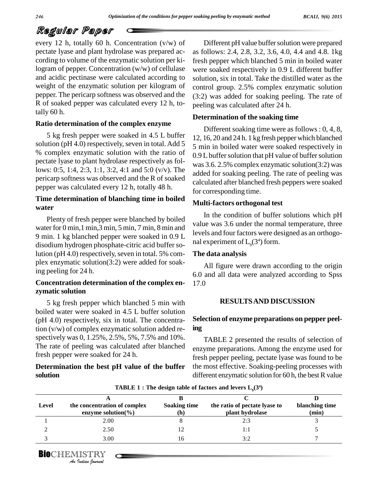## Regular Paper

every 12 h, totally 60 h. Concentration (v/w) of pectate lyase and plant hydrolase was prepared ac cording to volume of the enzymatic solution per kilogram of pepper. Concentration (w/w) of cellulase and acidic pectinase were calculated according to weight of the enzymatic solution per kilogram of pepper. The pericarp softness was observed and the R of soaked pepper was calculated every 12 h, totally 60 h.

#### **Ratio determination of the complex enzyme**

5 kg fresh pepper were soaked in 4.5 L buffer solution (pH 4.0) respectively, seven in total. Add 5 % complex enzymatic solution with the ratio of pectate lyase to plant hydrolase respectively as follows: 0:5, 1:4, 2:3, 1:1, 3:2, 4:1 and 5:0 (v/v). The pericarp softness was observed and the R of soaked pepper was calculated every 12 h, totally 48 h.

### **Time determination of blanching time in boiled water**

Plenty of fresh pepper were blanched by boiled water for 0 min,1 min,3 min, 5 min, 7 min, 8 min and 9 min. 1 kg blanched pepper were soaked in 0.9 L disodium hydrogen phosphate-citric acid buffer solution ( $pH 4.0$ ) respectively, seven in total. 5% complex enzymatic solution(3:2) were added for soaking peeling for 24 h.

#### **Concentration determination of the complex en zymatic solution**

5 kg fresh pepper which blanched 5 min with boiled water were soaked in 4.5 L buffer solution (pH 4.0) respectively, six in total. The concentration (v/w) of complex enzymatic solution added re spectively was 0, 1.25%, 2.5%, 5%, 7.5% and 10%. The rate of peeling was calculated after blanched fresh pepper were soaked for 24 h.

### **Determination the best pH value of the buffer solution**

Different pH value buffer solution were prepared as follows: 2.4, 2.8, 3.2, 3.6, 4.0, 4.4 and 4.8. 1kg fresh pepper which blanched 5 min in boiled water were soaked respectively in 0.9 L different buffer solution, six in total. Take the distilled water as the control group. 2.5% complex enzymatic solution (3:2) was added for soaking peeling. The rate of peeling was calculated after 24 h.

#### **Determination of the soaking time**

Different soaking time were as follows : 0, 4, 8, 12, 16, 20 and 24 h. 1 kg fresh pepper which blanched 5 min in boiled water were soaked respectively in 0.9 L buffer solution that pH value of buffer solution was 3.6. 2.5% complex enzymatic solution(3:2) was added for soaking peeling. The rate of peeling was calculated after blanched fresh peppers were soaked for corresponding time.

#### **Multi-factors orthogonal test**

In the condition of buffer solutions which pH value was 3.6 under the normal temperature, three levels and four factors were designed as an orthogo nal experiment of  $L_{9}(3^{4})$  form.

#### **The data analysis**

All figure were drawn according to the origin 6.0 and all data were analyzed according to Spss 17.0

#### **RESULTSAND DISCUSSION**

### **Selection of enzyme preparations on pepper peeling**

TABLE 2 presented the results of selection of enzyme preparations. Among the enzyme used for fresh pepper peeling, pectate lyase was found to be the most effective. Soaking-peeling processes with different enzymatic solution for  $60$  h, the best R value

| Level | the concentration of complex<br>enzyme solution( $\%$ ) | <b>Soaking time</b><br>(h) | the ratio of pectate lyase to<br>plant hydrolase | blanching time<br>(min) |
|-------|---------------------------------------------------------|----------------------------|--------------------------------------------------|-------------------------|
|       | 2.00                                                    |                            | 2:3                                              |                         |
|       | 2.50                                                    | 12                         | l:1                                              |                         |
|       | 3.00                                                    | 16                         | 3:2                                              |                         |

**TABLE**  $1$  **:** The design table of factors and levers  $L_{9}(3^4)$ 

**BIO**CHEMISTRY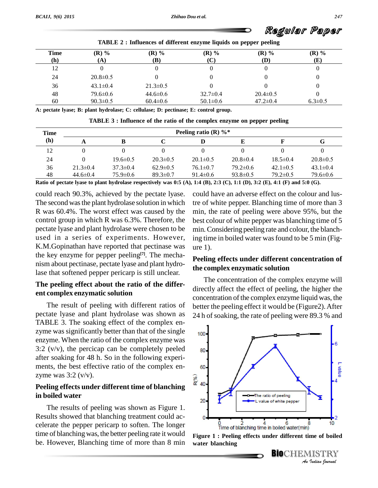*BCAIJ, 9(6) 2015*

## Regular Paper

| <b>Time</b> | $(R)$ %        | $(R)$ %        | $(R)$ %        | $(R)$ %        | $(R)$ %       |
|-------------|----------------|----------------|----------------|----------------|---------------|
| (h)         | $({\bf A})$    | (B)            | $(\mathbf{C})$ | (D)            | (E)           |
| 12          |                |                |                |                |               |
| 24          | $20.8 \pm 0.5$ |                |                |                |               |
| 36          | $43.1 \pm 0.4$ | $21.3 \pm 0.5$ |                |                |               |
| 48          | $79.6 \pm 0.6$ | $44.6 \pm 0.6$ | $32.7 \pm 0.4$ | $20.4 \pm 0.5$ |               |
| 60          | $90.3 \pm 0.5$ | $60.4 \pm 0.6$ | $50.1 \pm 0.6$ | $47.2 \pm 0.4$ | $6.3 \pm 0.5$ |

**TABLE 2 : Influences of different enzyme liquids on pepper peeling**

**A: pectate lyase; B: plant hydrolase; C: cellulase; D: pectinase; E: control group.**

| TABLE 3 : Influence of the ratio of the complex enzyme on pepper peeling |  |  |
|--------------------------------------------------------------------------|--|--|
|--------------------------------------------------------------------------|--|--|

| Time |                | Peeling ratio (R) $\%$ * |                |                |                |                |                |  |  |
|------|----------------|--------------------------|----------------|----------------|----------------|----------------|----------------|--|--|
| (h)  |                |                          |                |                |                |                | G              |  |  |
| 12   |                |                          |                |                |                |                |                |  |  |
| 24   |                | $19.6 \pm 0.5$           | $20.3 \pm 0.5$ | $20.1 \pm 0.5$ | $20.8 \pm 0.4$ | $18.5 \pm 0.4$ | $20.8 \pm 0.5$ |  |  |
| 36   | $21.3 \pm 0.4$ | $37.3 \pm 0.4$           | $62.9 \pm 0.5$ | $76.1 \pm 0.7$ | $79.2 \pm 0.6$ | $42.1 \pm 0.5$ | $43.1 \pm 0.4$ |  |  |
| 48   | $44.6 \pm 0.4$ | $75.9 \pm 0.6$           | $89.3 \pm 0.7$ | $91.4 \pm 0.6$ | $93.8 \pm 0.5$ | $79.2 \pm 0.5$ | $79.6 \pm 0.6$ |  |  |

Ratio of pectate lyase to plant hydrolase respectively was 0:5 (A), 1:4 (B), 2:3 (C), 1:1 (D), 3:2 (E), 4:1 (F) and 5:0 (G).

could reach 90.3%, achieved by the pectate lyase. The second wasthe plant hydrolase solution in which R was 60.4%. The worst effect was caused by the control group in which R was 6.3%. Therefore, the pectate lyase and plant hydrolase were chosen to be used in a series of experiments. However, K.M.Gopinathan have reported that pectinase was the key enzyme for pepper peeling **[7]**. The mecha nism about pectinase, pectate lyase and plant hydrolase that softened pepper pericarp is still unclear.

### **The peeling effect about the ratio of the differ ent complex enzymatic solution**

The result of peeling with different ratios of pectate lyase and plant hydrolase was shown as TABLE 3. The soaking effect of the complex en zyme was significantly better than that of the single  $_{100}$ . enzyme. When the ratio of the complex enzyme was 3:2  $(v/v)$ , the percicap can be completely peeled  $\qquad$  80. after soaking for 48 h. So in the following experi ments, the best effective ratio of the complex en-<br><sub>60</sub> zyme was  $3:2 \frac{\text{v}}{\text{v}}$ .

## **Pointing 8 and 1 and 1 and 1 and 1 and 1 and 1 and 1 and 1 and 1 and 1 and 1 and 1 and 1 and 1 and 1 and 1 and 1 and 1 and 1 and 1 and 1 and 1 and 1 and 1 and 1 and 1 and 1 and 1 and 1 and 1 and 1 and 1 and 1 and 1 and 1 in boiled water**

The results of peeling was shown as Figure 1. Results showed that blanching treatment could ac celerate the pepper pericarp to soften. The longer time of blanching was, the better peeling rate it would be. However, Blanching time of more than 8 min could have an adverse effect on the colour and lustre of white pepper. Blanching time of more than 3 min, the rate of peeling were above 95%, but the best colour of white pepper was blanching time of 5 min. Considering peeling rate and colour, the blanching time in boiled water wasfound to be 5 min (Fig ure 1).

#### **Peeling effects under different concentration of the complex enzymatic solution**

The concentration of the complex enzyme will directly affect the effect of peeling, the higher the concentration of the complex enzyme liquid was, the better the peeling effect it would be (Figure2). After 24 h of soaking, the rate of peeling were 89.3 % and



**Figure 1 : Peeling effects under different time of boiled water blanching**

**BIO**CHEMISTRY<br>An Indian Journal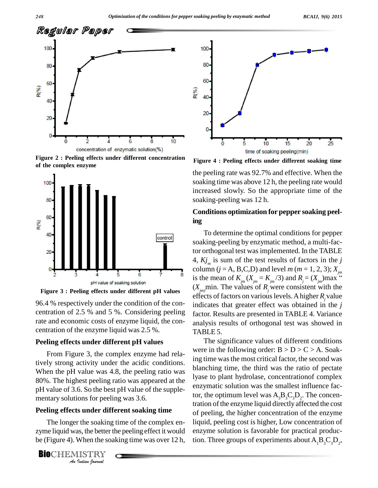

**Figure 2 : Peeling effects under different concentration of the complex enzyme**





96.4 % respectively under the condition of the con centration of 2.5 % and 5 %. Considering peeling rate and economic costs of enzyme liquid, the con centration of the enzyme liquid was 2.5 %.

#### **Peeling effects under different pH values**

From Figure 3, the complex enzyme had relatively strong activity under the acidic conditions. When the pH value was 4.8, the peeling ratio was 80%. The highest peeling ratio was appeared at the pH value of 3.6. So the best pH value of the supple mentary solutions for peeling was 3.6.

**Peeling effects under different soaking time**<br>
The longer the soaking time of the complex en-<br>
zyme liquid was, the better the peeling effect it would<br>
be (Figure 4). When the soaking time was over 12 h,<br> **BIO**CHEMISTRY The longer the soaking time of the complex en zyme liquid was, the better the peeling effect it would be (Figure 4). When the soaking time was over 12 h,

**BIO**CHEMISTRY<br>An Indian Iournal



**Figure 4 : Peeling effects under different soaking time**

the peeling rate was 92.7% and effective. When the soaking time was above 12 h, the peeling rate would increased slowly. So the appropriate time of the soaking-peeling was 12 h.

#### **Conditions optimization for pepper soaking peeling**

To determine the optimal conditions for pepper soaking-peeling by enzymatic method, a multi-factor orthogonal test was implemented. In the TABLE 4,  $Kj_m$  is sum of the test results of factors in the *j* column (*j* = A, B,C,D) and level *m* (*m* = 1, 2, 3);  $X_{j_m}$ is the mean of  $K_{jm}(X_{jm} = K_{jm}/3)$  and  $R_j = (X_{jm})$  max " n the *j*<br>3);  $X_{jm}$ <br>)max "  $(X_{im})$ min. The values of  $R_i$  were consistent with the effects of factors on variouslevels.Ahigher *Rj*value indicates that greater effect was obtained in the *j* factor. Results are presented in TABLE 4. Variance analysis results of orthogonal test was showed in TABLE 5.

The significance values of different conditions were in the following order:  $B > D > C > A$ . Soaking time was the most critical factor, the second was blanching time, the third was the ratio of pectate lyase to plant hydrolase, concentrationof complex enzymatic solution was the smallest influence factor, the optimum level was  $A_3B_3C_3D_2$ . The concentration of the enzyme liquid directly affected the cost of peeling, the higher concentration of the enzyme liquid, peeling cost is higher, Low concentration of enzyme solution is favorable for practical production. Three groups of experiments about  $A_1B_3C_3D_2$ ,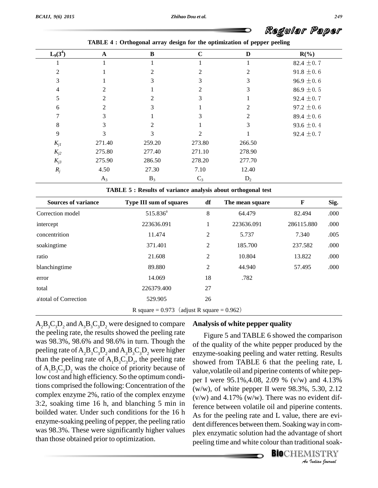

| $L_9(3^4)$ | $\mathbf A$    | $\bf{B}$ | $\mathbf C$ | D      | $R(\%)$        |
|------------|----------------|----------|-------------|--------|----------------|
|            |                |          |             |        | 82.4 $\pm$ 0.7 |
| 2          |                |          |             |        | $91.8 \pm 0.6$ |
| 3          |                |          | 3           | 3      | $96.9 \pm 0.6$ |
| 4          | $\mathfrak{D}$ |          | 2           | 3      | 86.9 $\pm$ 0.5 |
| 5          | 2              | 2        | 3           |        | 92.4 $\pm$ 0.7 |
| 6          | $\mathfrak{D}$ |          |             |        | 97.2 $\pm$ 0.6 |
|            | 3              |          | 3           | 2      | 89.4 $\pm$ 0.6 |
| 8          | 3              | ↑        |             |        | 93.6 $\pm$ 0.4 |
| 9          | 3              | 3        | 2           |        | 92.4 $\pm$ 0.7 |
| $K_{j1}$   | 271.40         | 259.20   | 273.80      | 266.50 |                |
| $K_{j2}$   | 275.80         | 277.40   | 271.10      | 278.90 |                |
| $K_{j3}$   | 275.90         | 286.50   | 278.20      | 277.70 |                |
| $R_j$      | 4.50           | 27.30    | 7.10        | 12.40  |                |
|            | $A_3$          | $B_3$    | $C_3$       | $D_2$  |                |

| TABLE 4: Orthogonal array design for the optimization of pepper peeling |  |  |  |
|-------------------------------------------------------------------------|--|--|--|
|                                                                         |  |  |  |

|  |  | TABLE 5 : Results of variance analysis about orthogonal test |  |  |  |  |
|--|--|--------------------------------------------------------------|--|--|--|--|
|--|--|--------------------------------------------------------------|--|--|--|--|

| <b>Sources of variance</b>                      | <b>Type III sum of squares</b> |    | The mean square | F          | Sig. |  |  |  |
|-------------------------------------------------|--------------------------------|----|-----------------|------------|------|--|--|--|
| Correction model                                | 515.836 <sup>a</sup>           | 8  | 64.479          | 82.494     | .000 |  |  |  |
| intercept                                       | 223636.091                     |    | 223636.091      | 286115.880 | .000 |  |  |  |
| concentrition                                   | 11.474                         | 2  | 5.737           | 7.340      | .005 |  |  |  |
| soakingtime                                     | 371.401                        | 2  | 185.700         | 237.582    | .000 |  |  |  |
| ratio                                           | 21.608                         | 2  | 10.804          | 13.822     | .000 |  |  |  |
| blanchingtime                                   | 89.880                         | 2  | 44.940          | 57.495     | .000 |  |  |  |
| error                                           | 14.069                         | 18 | .782            |            |      |  |  |  |
| total                                           | 226379.400                     | 27 |                 |            |      |  |  |  |
| a\total of Correction                           | 529.905                        | 26 |                 |            |      |  |  |  |
| R square = $0.973$ (adjust R square = $0.962$ ) |                                |    |                 |            |      |  |  |  |

 $A_2B_3C_3D_2$  and  $A_3B_3C_3D_2$  were designed to compare the peeling rate, the results showed the peeling rate was 98.3%, 98.6% and 98.6% in turn. Though the peeling rate of  $A_2B_3C_3D_2$  and  $A_3B_3C_3D_2$  were higher than the peeling rate of  $A_1B_3C_3D_2$ , the peeling rate show of  $A_1B_2C_3D_2$ , was the choice of priority because of low cost and high efficiency. So the optimum conditions comprised the following: Concentration of the complex enzyme 2%, ratio of the complex enzyme 3:2, soaking time 16 h, and blanching 5 min in boilded water. Under such conditions for the 16 h enzyme-soaking peeling of pepper, the peeling ratio was 98.3%. These were significantly higher values than those obtained prior to optimization.

#### **Analysis of white pepper quality**

ference between volatile oil and piperine contents. *Indian*<br>*Indian Indian*<br>*I*<br>*ISTRY*<br>*Indian bouvaal* Figure 5 and TABLE 6 showed the comparison of the quality of the white pepper produced by the enzyme-soaking peeling and water retting. Results showed from TABLE 6 that the peeling rate, L value, volatile oil and piperine contents of white pepper I were 95.1%,4.08, 2.09 % (v/w) and 4.13% (w/w), of white pepper II were 98.3%, 5.30, 2.12  $(v/w)$  and 4.17%  $(w/w)$ . There was no evident dif-As for the peeling rate and L value, there are evident differences between them. Soaking way in com plex enzymatic solution had the advantage of short peeling time and white colour than traditional soak-

**BIO**CHEMISTRY<br>An Indian Journal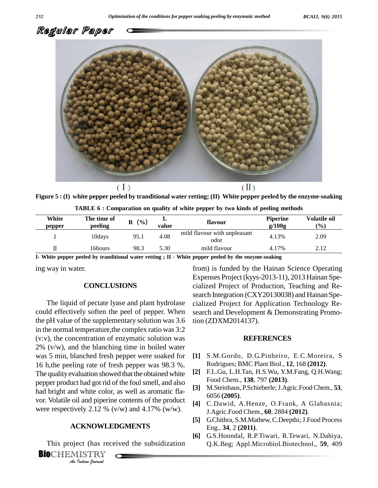

Figure 5 : (I) white pepper peeled by tranditional water retting; (II) White pepper peeled by the enzyme-soaking

|         | <b>TABLE 6 : Comparation on quality of white pepper by two kinds of peeling methods</b> |         |          |         |                 |       |  |
|---------|-----------------------------------------------------------------------------------------|---------|----------|---------|-----------------|-------|--|
| White   | The time of                                                                             | $R(\%)$ |          | flavour | <b>Piperine</b> | Volat |  |
| ------- | المنطقة والمناور                                                                        |         | --- -- - |         | $\sim 1100$     |       |  |

| White<br>pepper | The time of<br>peeling | $($ %)<br>≖<br>R<br>flavour<br>value |      | <b>Piperine</b><br>g/100g            | <b>Volatile oil</b><br>$\frac{1}{2}$ |      |
|-----------------|------------------------|--------------------------------------|------|--------------------------------------|--------------------------------------|------|
|                 | 10davs                 | 95.1                                 | 4.08 | mild flavour with unpleasant<br>odor | 4.13%                                | 2.09 |
|                 | l 6hours               | 98.3                                 | 5.30 | mild flavour                         | 4.17%                                | 2.12 |
| - ---- - -      |                        |                                      |      | $- - - - - - - -$<br>.               | . .                                  |      |

**I- White pepper peeled by tranditional water retting ; II - White pepper peeled by the enzyme-soaking**

ing way in water.

#### **CONCLUSIONS**

were respectively 2.12 % (v/w) and 4.17% (w/w). The liquid of pectate lyase and plant hydrolase could effectively soften the peel of pepper. When the pH value of the supplementary solution was 3.6 in the normal temperature,the complex ratio was 3:2 (v:v), the concentration of enzymatic solution was  $2\%$  (v/w), and the blanching time in boiled water was 5 min, blanched fresh pepper were soaked for 16 h,the peeling rate of fresh pepper was 98.3 %. The quality evaluation showed that the obtained white pepper product had got rid of the foulsmell, and also had bright and white color, as well as aromatic fla vor. Volatile oil and piperine contents of the product

#### **ACKNOWLEDGMENTS**

*I*ely 2.12 % (<br>**CKNOWLE**<br>Pudian fournal<br>*Indian fournal* This project (has received the subsidization

from) is funded by the Hainan Science Operating Expenses Project (kyys-2013-11), 2013 Hainan Spe cialized Project of Production, Teaching and Re search Integration (CXY20130038) and Hainan Spe cialized Project for Application Technology Re search and Development & Demonstrating Promotion (ZDXM2014137).

#### **REFERENCES**

- **[1]** S.M.Gordo, D.G.Pinheiro, E.C.Moreira, S Rodrigues; BMC Plant Biol., **12**, 168 **(2012)**.
- **[2]** F.L.Gu, L.H.Tan, H.S.Wu, Y.M.Fang, Q.H.Wang; Food Chem., **138**, 797 **(2013)**.
- **[3]** M.Steinhaus, P.Schieberle;J.Agric.Food Chem., **53**, 6056 **(2005)**.
- **[4]** C.Dawid, A.Henze, O.Frank, A Glabasnia; J.Agric.Food Chem., **60**, 2884 **(2012)**.
- [5] G.Chithra, S.M.Mathew, C.Deepthi; J.Food Process Eng., **34**, 2 **(2011)**.
- **[6]** G.S.Hoondal, R.P.Tiwari, R.Tewari, N.Dahiya, Q.K.Beg; Appl.Microbiol.Biotechnol., **59**, 409

**Bio**CHEMISTRY